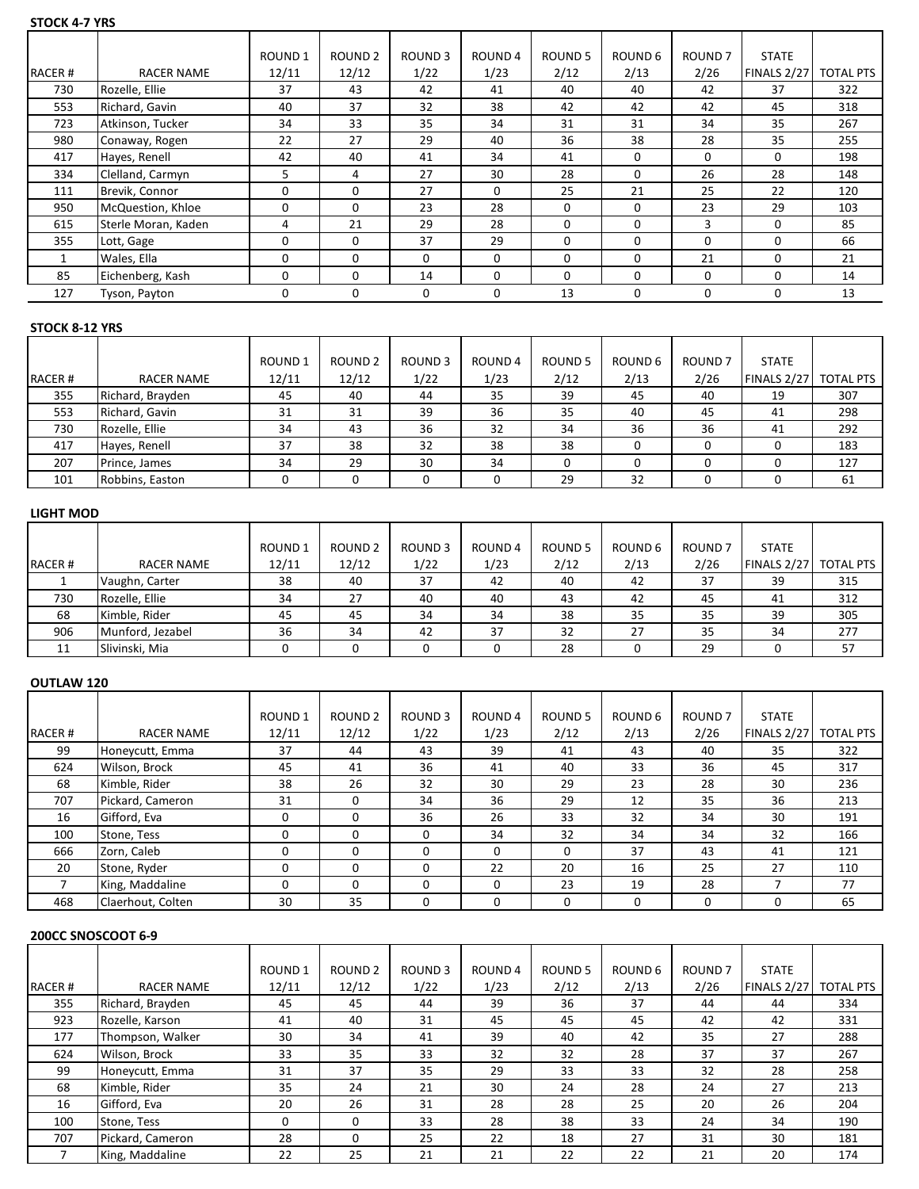#### **STOCK 4-7 YRS**

|        |                     | ROUND <sub>1</sub> | <b>ROUND 2</b> | ROUND <sub>3</sub> | ROUND 4  | ROUND 5 | ROUND 6  | ROUND <sub>7</sub> | <b>STATE</b> |                  |
|--------|---------------------|--------------------|----------------|--------------------|----------|---------|----------|--------------------|--------------|------------------|
| RACER# | <b>RACER NAME</b>   | 12/11              | 12/12          | 1/22               | 1/23     | 2/12    | 2/13     | 2/26               | FINALS 2/27  | <b>TOTAL PTS</b> |
| 730    | Rozelle, Ellie      | 37                 | 43             | 42                 | 41       | 40      | 40       | 42                 | 37           | 322              |
| 553    | Richard, Gavin      | 40                 | 37             | 32                 | 38       | 42      | 42       | 42                 | 45           | 318              |
| 723    | Atkinson, Tucker    | 34                 | 33             | 35                 | 34       | 31      | 31       | 34                 | 35           | 267              |
| 980    | Conaway, Rogen      | 22                 | 27             | 29                 | 40       | 36      | 38       | 28                 | 35           | 255              |
| 417    | Hayes, Renell       | 42                 | 40             | 41                 | 34       | 41      | 0        | 0                  | 0            | 198              |
| 334    | Clelland, Carmyn    | 5                  | 4              | 27                 | 30       | 28      | $\Omega$ | 26                 | 28           | 148              |
| 111    | Brevik, Connor      | 0                  | 0              | 27                 | $\Omega$ | 25      | 21       | 25                 | 22           | 120              |
| 950    | McQuestion, Khloe   | 0                  | 0              | 23                 | 28       | 0       | $\Omega$ | 23                 | 29           | 103              |
| 615    | Sterle Moran, Kaden | 4                  | 21             | 29                 | 28       | 0       | $\Omega$ | 3                  | 0            | 85               |
| 355    | Lott, Gage          | 0                  | 0              | 37                 | 29       | 0       | $\Omega$ | $\Omega$           | $\Omega$     | 66               |
|        | Wales, Ella         | 0                  | 0              | $\Omega$           | 0        | 0       | $\Omega$ | 21                 | $\Omega$     | 21               |
| 85     | Eichenberg, Kash    | $\Omega$           | 0              | 14                 | 0        | 0       | $\Omega$ | $\Omega$           | 0            | 14               |
| 127    | Tyson, Payton       | 0                  | 0              | 0                  | 0        | 13      | 0        | 0                  | 0            | 13               |

# **STOCK 8-12 YRS**

|        |                  | ROUND <sub>1</sub> | <b>ROUND 2</b> | ROUND 3 | ROUND 4 | ROUND 5 | ROUND 6 | ROUND <sub>7</sub> | <b>STATE</b>          |     |
|--------|------------------|--------------------|----------------|---------|---------|---------|---------|--------------------|-----------------------|-----|
| RACER# | RACER NAME       | 12/11              | 12/12          | 1/22    | 1/23    | 2/12    | 2/13    | 2/26               | FINALS 2/27 TOTAL PTS |     |
| 355    | Richard, Brayden | 45                 | 40             | 44      | 35      | 39      | 45      | 40                 | 19                    | 307 |
| 553    | Richard, Gavin   | 31                 | 31             | 39      | 36      | 35      | 40      | 45                 | 41                    | 298 |
| 730    | Rozelle, Ellie   | 34                 | 43             | 36      | 32      | 34      | 36      | 36                 | 41                    | 292 |
| 417    | Hayes, Renell    | 37                 | 38             | 32      | 38      | 38      |         |                    |                       | 183 |
| 207    | Prince, James    | 34                 | 29             | 30      | 34      |         |         |                    |                       | 127 |
| 101    | Robbins, Easton  |                    |                |         |         | 29      | 32      |                    |                       | 61  |

#### **LIGHT MOD**

|               |                   | ROUND <sub>1</sub> | ROUND <sub>2</sub> | ROUND <sub>3</sub> | ROUND 4 | <b>ROUND 5</b> | ROUND 6 | ROUND <sub>7</sub> | <b>STATE</b>          |     |
|---------------|-------------------|--------------------|--------------------|--------------------|---------|----------------|---------|--------------------|-----------------------|-----|
| <b>RACER#</b> | <b>RACER NAME</b> | 12/11              | 12/12              | 1/22               | 1/23    | 2/12           | 2/13    | 2/26               | FINALS 2/27 TOTAL PTS |     |
|               | Vaughn, Carter    | 38                 | 40                 | 37                 | 42      | 40             | 42      | 37                 | 39                    | 315 |
| 730           | Rozelle, Ellie    | 34                 | 27                 | 40                 | 40      | 43             | 42      | 45                 | 41                    | 312 |
| 68            | Kimble, Rider     | 45                 | 45                 | 34                 | 34      | 38             | 35      | 35                 | 39                    | 305 |
| 906           | Munford, Jezabel  | 36                 | 34                 | 42                 | 37      | 32             | 27      | 35                 | 34                    | 277 |
| 11            | Slivinski, Mia    |                    |                    |                    |         | 28             |         | 29                 |                       | 57  |

#### **OUTLAW 120**

|               |                   | ROUND <sub>1</sub> | ROUND <sub>2</sub> | ROUND <sub>3</sub> | ROUND 4 | ROUND <sub>5</sub> | ROUND 6 | ROUND <sub>7</sub> | <b>STATE</b> |           |
|---------------|-------------------|--------------------|--------------------|--------------------|---------|--------------------|---------|--------------------|--------------|-----------|
| <b>RACER#</b> | <b>RACER NAME</b> | 12/11              | 12/12              | 1/22               | 1/23    | 2/12               | 2/13    | 2/26               | FINALS 2/27  | TOTAL PTS |
| 99            | Honeycutt, Emma   | 37                 | 44                 | 43                 | 39      | 41                 | 43      | 40                 | 35           | 322       |
| 624           | Wilson, Brock     | 45                 | 41                 | 36                 | 41      | 40                 | 33      | 36                 | 45           | 317       |
| 68            | Kimble, Rider     | 38                 | 26                 | 32                 | 30      | 29                 | 23      | 28                 | 30           | 236       |
| 707           | Pickard, Cameron  | 31                 | 0                  | 34                 | 36      | 29                 | 12      | 35                 | 36           | 213       |
| 16            | Gifford, Eva      | 0                  | 0                  | 36                 | 26      | 33                 | 32      | 34                 | 30           | 191       |
| 100           | Stone, Tess       | 0                  | $\Omega$           |                    | 34      | 32                 | 34      | 34                 | 32           | 166       |
| 666           | Zorn, Caleb       | 0                  | $\Omega$           | -0                 | 0       | 0                  | 37      | 43                 | 41           | 121       |
| 20            | Stone, Ryder      | $\Omega$           | 0                  |                    | 22      | 20                 | 16      | 25                 | 27           | 110       |
|               | King, Maddaline   | 0                  | 0                  |                    | 0       | 23                 | 19      | 28                 |              | 77        |
| 468           | Claerhout, Colten | 30                 | 35                 |                    | 0       | 0                  |         | 0                  | 0            | 65        |

# **200CC SNOSCOOT 6-9**

|        |                   | ROUND <sub>1</sub> | ROUND <sub>2</sub> | ROUND <sub>3</sub> | ROUND 4 | ROUND 5 | ROUND 6 | ROUND <sub>7</sub> | <b>STATE</b> |                  |
|--------|-------------------|--------------------|--------------------|--------------------|---------|---------|---------|--------------------|--------------|------------------|
| RACER# | <b>RACER NAME</b> | 12/11              | 12/12              | 1/22               | 1/23    | 2/12    | 2/13    | 2/26               | FINALS 2/27  | <b>TOTAL PTS</b> |
| 355    | Richard, Brayden  | 45                 | 45                 | 44                 | 39      | 36      | 37      | 44                 | 44           | 334              |
| 923    | Rozelle, Karson   | 41                 | 40                 | 31                 | 45      | 45      | 45      | 42                 | 42           | 331              |
| 177    | Thompson, Walker  | 30                 | 34                 | 41                 | 39      | 40      | 42      | 35                 | 27           | 288              |
| 624    | Wilson, Brock     | 33                 | 35                 | 33                 | 32      | 32      | 28      | 37                 | 37           | 267              |
| 99     | Honeycutt, Emma   | 31                 | 37                 | 35                 | 29      | 33      | 33      | 32                 | 28           | 258              |
| 68     | Kimble, Rider     | 35                 | 24                 | 21                 | 30      | 24      | 28      | 24                 | 27           | 213              |
| 16     | Gifford, Eva      | 20                 | 26                 | 31                 | 28      | 28      | 25      | 20                 | 26           | 204              |
| 100    | Stone, Tess       | $\Omega$           | $\Omega$           | 33                 | 28      | 38      | 33      | 24                 | 34           | 190              |
| 707    | Pickard, Cameron  | 28                 | 0                  | 25                 | 22      | 18      | 27      | 31                 | 30           | 181              |
|        | King, Maddaline   | 22                 | 25                 | 21                 | 21      | 22      | 22      | 21                 | 20           | 174              |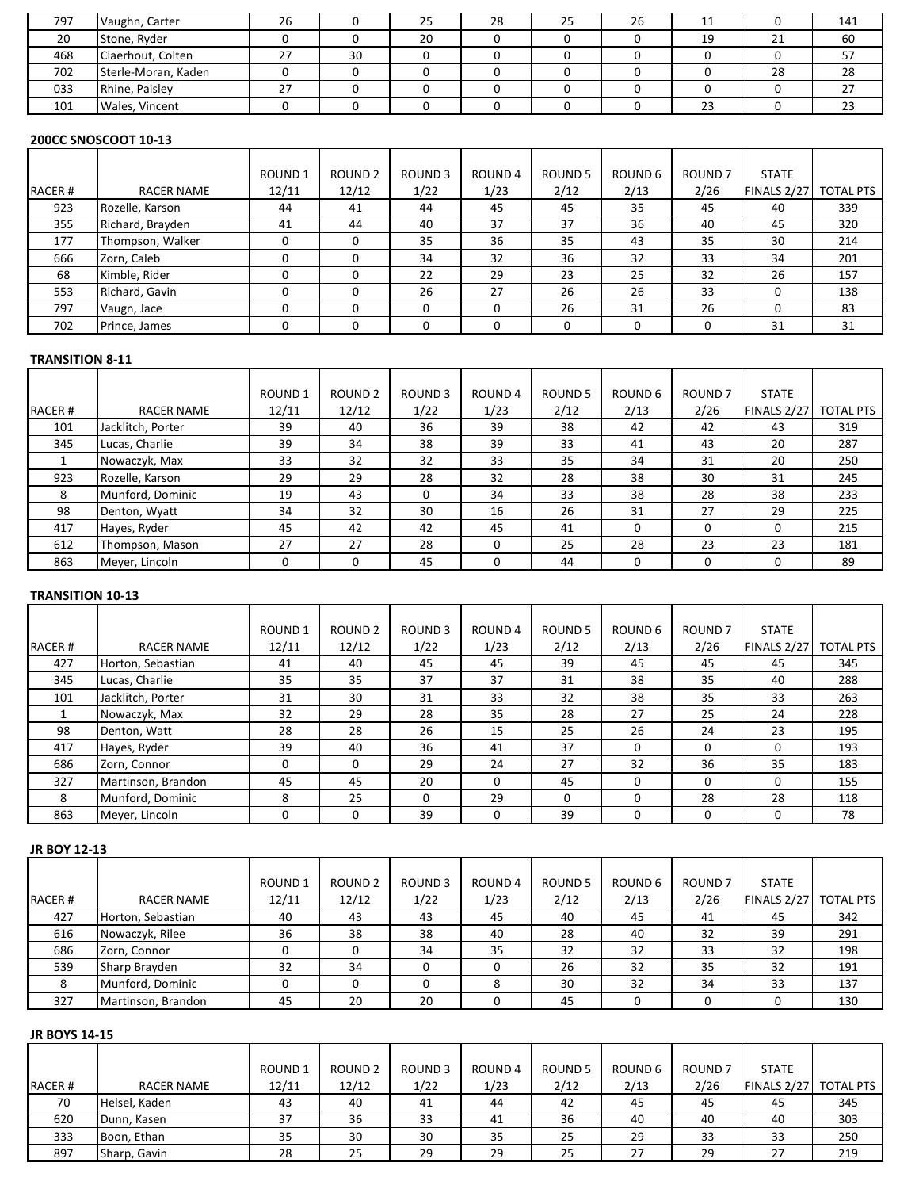| 797 | Vaughn, Carter      | 26 |    | 25 | 28 | 25 | 26 | 11 |    | 141      |
|-----|---------------------|----|----|----|----|----|----|----|----|----------|
| 20  | Stone, Ryder        |    |    | 20 |    |    |    | 19 | 21 | 60       |
| 468 | Claerhout, Colten   | 27 | 30 |    |    |    |    |    |    |          |
| 702 | Sterle-Moran, Kaden |    |    |    |    |    |    |    | 28 | າດ<br>20 |
| 033 | Rhine, Paisley      | 27 |    |    |    |    |    |    |    | ، ـ      |
| 101 | Wales, Vincent      |    |    |    |    |    |    | 23 |    | دے       |
|     |                     |    |    |    |    |    |    |    |    |          |

# **200CC SNOSCOOT 10-13**

|        |                   | ROUND 1 | ROUND <sub>2</sub> | ROUND <sub>3</sub> | ROUND 4 | ROUND 5 | ROUND 6 | ROUND <sub>7</sub> | <b>STATE</b> |                  |
|--------|-------------------|---------|--------------------|--------------------|---------|---------|---------|--------------------|--------------|------------------|
| RACER# | <b>RACER NAME</b> | 12/11   | 12/12              | 1/22               | 1/23    | 2/12    | 2/13    | 2/26               | FINALS 2/27  | <b>TOTAL PTS</b> |
| 923    | Rozelle, Karson   | 44      | 41                 | 44                 | 45      | 45      | 35      | 45                 | 40           | 339              |
| 355    | Richard, Brayden  | 41      | 44                 | 40                 | 37      | 37      | 36      | 40                 | 45           | 320              |
| 177    | Thompson, Walker  | 0       | 0                  | 35                 | 36      | 35      | 43      | 35                 | 30           | 214              |
| 666    | Zorn, Caleb       | 0       |                    | 34                 | 32      | 36      | 32      | 33                 | 34           | 201              |
| 68     | Kimble, Rider     | 0       | C                  | 22                 | 29      | 23      | 25      | 32                 | 26           | 157              |
| 553    | Richard, Gavin    | 0       | $\Omega$           | 26                 | 27      | 26      | 26      | 33                 | 0            | 138              |
| 797    | Vaugn, Jace       | 0       |                    |                    |         | 26      | 31      | 26                 | 0            | 83               |
| 702    | Prince, James     | 0       | 0                  |                    |         |         |         |                    | 31           | 31               |

#### **TRANSITION 8-11**

|        |                   | ROUND 1 | <b>ROUND 2</b> | <b>ROUND3</b> | ROUND 4  | ROUND <sub>5</sub> | ROUND <sub>6</sub> | ROUND <sub>7</sub> | <b>STATE</b> |                  |
|--------|-------------------|---------|----------------|---------------|----------|--------------------|--------------------|--------------------|--------------|------------------|
| RACER# | <b>RACER NAME</b> | 12/11   | 12/12          | 1/22          | 1/23     | 2/12               | 2/13               | 2/26               | FINALS 2/27  | <b>TOTAL PTS</b> |
| 101    | Jacklitch, Porter | 39      | 40             | 36            | 39       | 38                 | 42                 | 42                 | 43           | 319              |
| 345    | Lucas, Charlie    | 39      | 34             | 38            | 39       | 33                 | 41                 | 43                 | 20           | 287              |
|        | Nowaczyk, Max     | 33      | 32             | 32            | 33       | 35                 | 34                 | 31                 | 20           | 250              |
| 923    | Rozelle, Karson   | 29      | 29             | 28            | 32       | 28                 | 38                 | 30                 | 31           | 245              |
| 8      | Munford, Dominic  | 19      | 43             |               | 34       | 33                 | 38                 | 28                 | 38           | 233              |
| 98     | Denton, Wyatt     | 34      | 32             | 30            | 16       | 26                 | 31                 | 27                 | 29           | 225              |
| 417    | Hayes, Ryder      | 45      | 42             | 42            | 45       | 41                 | $\Omega$           |                    | O            | 215              |
| 612    | Thompson, Mason   | 27      | 27             | 28            | $\Omega$ | 25                 | 28                 | 23                 | 23           | 181              |
| 863    | Meyer, Lincoln    | 0       | $\Omega$       | 45            |          | 44                 |                    |                    | 0            | 89               |

# **TRANSITION 10-13**

|               |                    | ROUND <sub>1</sub> | ROUND <sub>2</sub> | <b>ROUND3</b> | ROUND 4  | ROUND 5 | ROUND 6  | ROUND <sub>7</sub> | <b>STATE</b> |                  |
|---------------|--------------------|--------------------|--------------------|---------------|----------|---------|----------|--------------------|--------------|------------------|
| <b>RACER#</b> | <b>RACER NAME</b>  | 12/11              | 12/12              | 1/22          | 1/23     | 2/12    | 2/13     | 2/26               | FINALS 2/27  | <b>TOTAL PTS</b> |
| 427           | Horton, Sebastian  | 41                 | 40                 | 45            | 45       | 39      | 45       | 45                 | 45           | 345              |
| 345           | Lucas, Charlie     | 35                 | 35                 | 37            | 37       | 31      | 38       | 35                 | 40           | 288              |
| 101           | Jacklitch, Porter  | 31                 | 30                 | 31            | 33       | 32      | 38       | 35                 | 33           | 263              |
|               | Nowaczyk, Max      | 32                 | 29                 | 28            | 35       | 28      | 27       | 25                 | 24           | 228              |
| 98            | Denton, Watt       | 28                 | 28                 | 26            | 15       | 25      | 26       | 24                 | 23           | 195              |
| 417           | Hayes, Ryder       | 39                 | 40                 | 36            | 41       | 37      |          | 0                  | 0            | 193              |
| 686           | Zorn, Connor       | 0                  | <sup>0</sup>       | 29            | 24       | 27      | 32       | 36                 | 35           | 183              |
| 327           | Martinson, Brandon | 45                 | 45                 | 20            | $\Omega$ | 45      | $\Omega$ | 0                  | $\Omega$     | 155              |
| 8             | Munford, Dominic   | 8                  | 25                 |               | 29       | O       |          | 28                 | 28           | 118              |
| 863           | Meyer, Lincoln     | 0                  | 0                  | 39            | 0        | 39      |          | 0                  | 0            | 78               |

## **JR BOY 12-13**

|               |                    | <b>ROUND1</b> | ROUND <sub>2</sub> | <b>ROUND3</b> | ROUND 4 | ROUND <sub>5</sub> | ROUND 6 | <b>ROUND7</b> | <b>STATE</b> |                  |
|---------------|--------------------|---------------|--------------------|---------------|---------|--------------------|---------|---------------|--------------|------------------|
| <b>RACER#</b> | RACER NAME         | 12/11         | 12/12              | 1/22          | 1/23    | 2/12               | 2/13    | 2/26          | FINALS 2/27  | <b>TOTAL PTS</b> |
| 427           | Horton, Sebastian  | 40            | 43                 | 43            | 45      | 40                 | 45      | 41            | 45           | 342              |
| 616           | Nowaczyk, Rilee    | 36            | 38                 | 38            | 40      | 28                 | 40      | 32            | 39           | 291              |
| 686           | Zorn, Connor       |               |                    | 34            | 35      | 32                 | 32      | 33            | 32           | 198              |
| 539           | Sharp Brayden      | 32            | 34                 |               |         | 26                 | 32      | 35            | 32           | 191              |
|               | Munford, Dominic   |               |                    |               |         | 30                 | 32      | 34            | 33           | 137              |
| 327           | Martinson, Brandon | 45            | 20                 | 20            |         | 45                 |         |               |              | 130              |

#### **JR BOYS 14-15**

|               |                   | <b>ROUND1</b> | <b>ROUND 2</b> | <b>ROUND3</b> | ROUND <sub>4</sub> | <b>ROUND 5</b> | ROUND 6 | ROUND 7 | <b>STATE</b> |                  |
|---------------|-------------------|---------------|----------------|---------------|--------------------|----------------|---------|---------|--------------|------------------|
| <b>RACER#</b> | <b>RACER NAME</b> | 12/11         | 12/12          | 1/22          | 1/23               | 2/12           | 2/13    | 2/26    | FINALS 2/27  | <b>TOTAL PTS</b> |
| 70            | Helsel, Kaden     | 43            | 40             | -41           | 44                 | 42             | 45      | 45      | 45           | 345              |
| 620           | Dunn, Kasen       | 37            | 36             | 33            | 41                 | 36             | 40      | 40      | 40           | 303              |
| 333           | Boon, Ethan       | 35            | 30             | 30            | 35                 | 25             | 29      | 33      | 33           | 250              |
| 897           | Sharp, Gavin      | 28            | 25             | 29            | 29                 | 25             | 27      | 29      | 27           | 219              |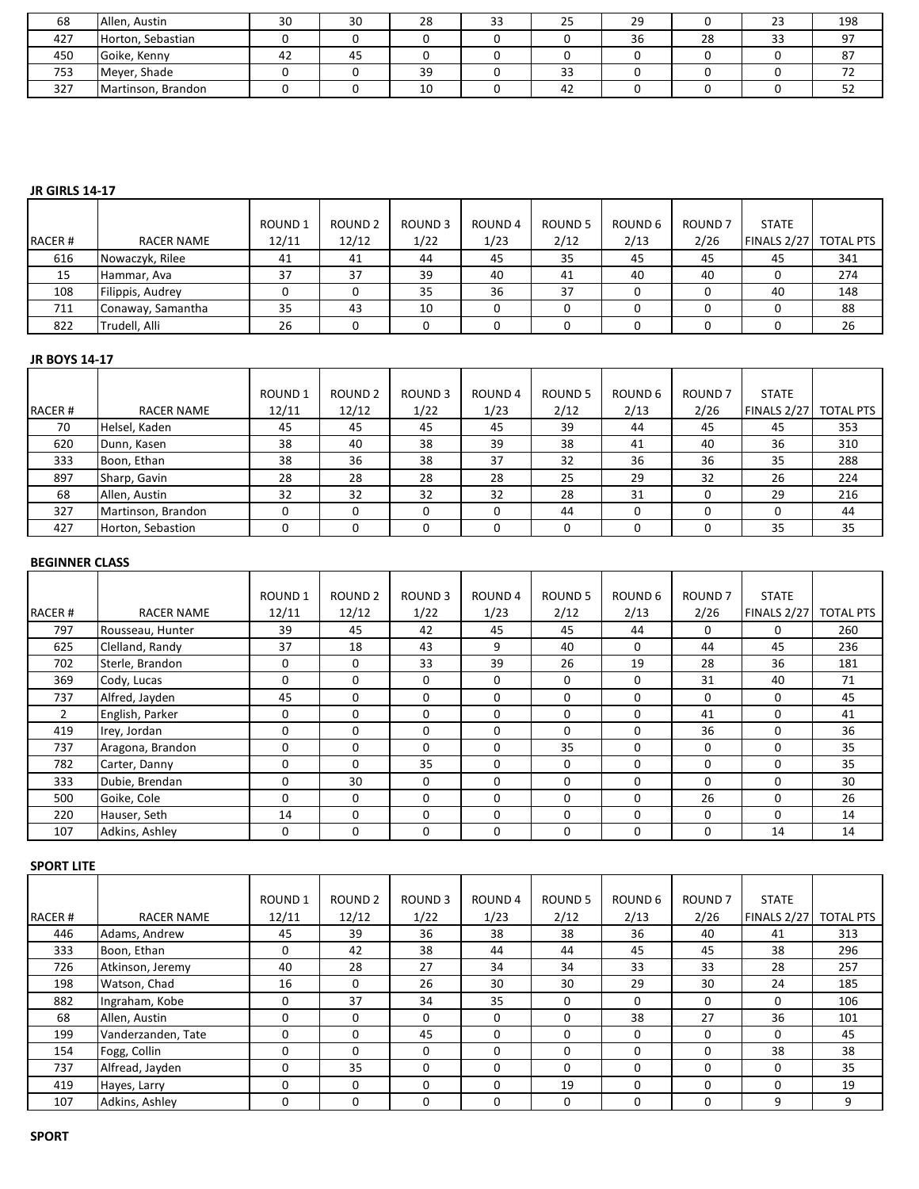| 68  | Allen, Austin      | 30 | 30 | 28 | $\sim$<br>ر ر | رے | 29 |    | <b>- -</b><br>23 | 198           |
|-----|--------------------|----|----|----|---------------|----|----|----|------------------|---------------|
| 427 | Horton, Sebastian  |    |    |    |               |    | 36 | 28 | 33               | 97            |
| 450 | Goike, Kenny       | 42 | 45 |    |               |    |    |    |                  | $\circ$<br>87 |
| 753 | Meyer, Shade       |    |    | 39 |               | 33 |    |    |                  |               |
| 327 | Martinson, Brandon |    |    | 10 |               | 42 |    |    |                  | ےر            |

## **JR GIRLS 14-17**

|        |                   | <b>ROUND1</b> | ROUND <sub>2</sub> | <b>ROUND3</b> | ROUND 4 | ROUND 5 | ROUND 6 | ROUND <sub>7</sub> | <b>STATE</b>          |     |
|--------|-------------------|---------------|--------------------|---------------|---------|---------|---------|--------------------|-----------------------|-----|
| RACER# | <b>RACER NAME</b> | 12/11         | 12/12              | 1/22          | 1/23    | 2/12    | 2/13    | 2/26               | FINALS 2/27 TOTAL PTS |     |
| 616    | Nowaczyk, Rilee   | 41            | 41                 | 44            | 45      | 35      | 45      | 45                 | 45                    | 341 |
| 15     | Hammar, Ava       | 37            | 37                 | 39            | 40      | 41      | 40      | 40                 |                       | 274 |
| 108    | Filippis, Audrey  |               |                    | 35            | 36      | 37      |         |                    | 40                    | 148 |
| 711    | Conaway, Samantha | 35            | 43                 | 10            |         |         |         |                    |                       | 88  |
| 822    | Trudell, Alli     | 26            |                    |               |         |         |         |                    |                       | 26  |

#### **JR BOYS 14-17**

|        |                    | <b>ROUND1</b> | ROUND <sub>2</sub> | ROUND <sub>3</sub> | ROUND <sub>4</sub> | ROUND <sub>5</sub> | ROUND 6      | <b>ROUND7</b> | <b>STATE</b> |                  |
|--------|--------------------|---------------|--------------------|--------------------|--------------------|--------------------|--------------|---------------|--------------|------------------|
| RACER# | RACER NAME         | 12/11         | 12/12              | 1/22               | 1/23               | 2/12               | 2/13         | 2/26          | FINALS 2/27  | <b>TOTAL PTS</b> |
| 70     | Helsel, Kaden      | 45            | 45                 | 45                 | 45                 | 39                 | 44           | 45            | 45           | 353              |
| 620    | Dunn, Kasen        | 38            | 40                 | 38                 | 39                 | 38                 | 41           | 40            | 36           | 310              |
| 333    | Boon, Ethan        | 38            | 36                 | 38                 | 37                 | 32                 | 36           | 36            | 35           | 288              |
| 897    | Sharp, Gavin       | 28            | 28                 | 28                 | 28                 | 25                 | 29           | 32            | 26           | 224              |
| 68     | Allen, Austin      | 32            | 32                 | 32                 | 32                 | 28                 | 31           |               | 29           | 216              |
| 327    | Martinson, Brandon | ŋ             | 0                  |                    |                    | 44                 | <sup>0</sup> |               | <sup>0</sup> | 44               |
| 427    | Horton, Sebastion  | 0             |                    |                    |                    |                    |              |               | 35           | 35               |

#### **BEGINNER CLASS**

|        |                   | ROUND <sub>1</sub> | ROUND <sub>2</sub> | ROUND <sub>3</sub> | ROUND 4  | ROUND <sub>5</sub> | ROUND 6  | ROUND <sub>7</sub> | <b>STATE</b> |                  |
|--------|-------------------|--------------------|--------------------|--------------------|----------|--------------------|----------|--------------------|--------------|------------------|
| RACER# | <b>RACER NAME</b> | 12/11              | 12/12              | 1/22               | 1/23     | 2/12               | 2/13     | 2/26               | FINALS 2/27  | <b>TOTAL PTS</b> |
| 797    | Rousseau, Hunter  | 39                 | 45                 | 42                 | 45       | 45                 | 44       | 0                  | $\Omega$     | 260              |
| 625    | Clelland, Randy   | 37                 | 18                 | 43                 | 9        | 40                 | 0        | 44                 | 45           | 236              |
| 702    | Sterle, Brandon   | 0                  | 0                  | 33                 | 39       | 26                 | 19       | 28                 | 36           | 181              |
| 369    | Cody, Lucas       | $\mathbf 0$        | $\Omega$           | $\Omega$           | $\Omega$ | 0                  | $\Omega$ | 31                 | 40           | 71               |
| 737    | Alfred, Jayden    | 45                 | 0                  | 0                  | 0        | 0                  | 0        | 0                  | 0            | 45               |
|        | English, Parker   | 0                  | 0                  | $\Omega$           |          | 0                  | 0        | 41                 | $\Omega$     | 41               |
| 419    | Irey, Jordan      | 0                  | $\Omega$           | $\Omega$           | $\Omega$ | 0                  | $\Omega$ | 36                 | $\Omega$     | 36               |
| 737    | Aragona, Brandon  | 0                  | 0                  | 0                  | 0        | 35                 | 0        | 0                  | 0            | 35               |
| 782    | Carter, Danny     | 0                  | 0                  | 35                 | $\Omega$ | 0                  | 0        | 0                  | 0            | 35               |
| 333    | Dubie, Brendan    | $\mathbf 0$        | 30                 | $\Omega$           | $\Omega$ | <sup>0</sup>       | $\Omega$ | $\Omega$           | $\Omega$     | 30               |
| 500    | Goike, Cole       | 0                  | 0                  | 0                  | 0        | 0                  | 0        | 26                 | 0            | 26               |
| 220    | Hauser, Seth      | 14                 | 0                  | 0                  |          | 0                  | 0        | 0                  | $\Omega$     | 14               |
| 107    | Adkins, Ashlev    | $\Omega$           | $\Omega$           | 0                  | 0        | 0                  | $\Omega$ | 0                  | 14           | 14               |

#### **SPORT LITE**

|               |                    | <b>ROUND1</b> | <b>ROUND 2</b> | ROUND <sub>3</sub> | ROUND <sub>4</sub> | ROUND 5  | ROUND 6 | <b>ROUND 7</b> | <b>STATE</b> |                  |
|---------------|--------------------|---------------|----------------|--------------------|--------------------|----------|---------|----------------|--------------|------------------|
| <b>RACER#</b> | <b>RACER NAME</b>  | 12/11         | 12/12          | 1/22               | 1/23               | 2/12     | 2/13    | 2/26           | FINALS 2/27  | <b>TOTAL PTS</b> |
| 446           | Adams, Andrew      | 45            | 39             | 36                 | 38                 | 38       | 36      | 40             | 41           | 313              |
| 333           | Boon, Ethan        | 0             | 42             | 38                 | 44                 | 44       | 45      | 45             | 38           | 296              |
| 726           | Atkinson, Jeremy   | 40            | 28             | 27                 | 34                 | 34       | 33      | 33             | 28           | 257              |
| 198           | Watson, Chad       | 16            | ∩              | 26                 | 30                 | 30       | 29      | 30             | 24           | 185              |
| 882           | Ingraham, Kobe     | 0             | 37             | 34                 | 35                 | $\Omega$ | 0       | $\Omega$       | 0            | 106              |
| 68            | Allen, Austin      | 0             | 0              | $\Omega$           | 0                  |          | 38      | 27             | 36           | 101              |
| 199           | Vanderzanden, Tate | 0             | 0              | 45                 |                    |          | 0       | O              | 0            | 45               |
| 154           | Fogg, Collin       | 0             | $\Omega$       | $\Omega$           | 0                  |          | 0       |                | 38           | 38               |
| 737           | Alfread, Jayden    | 0             | 35             | $\Omega$           | 0                  | O        | 0       | <sup>n</sup>   | 0            | 35               |
| 419           | Hayes, Larry       | 0             | 0              | 0                  |                    | 19       | 0       |                | 0            | 19               |
| 107           | Adkins, Ashley     | 0             | $\Omega$       | 0                  |                    |          | 0       |                | 9            | 9                |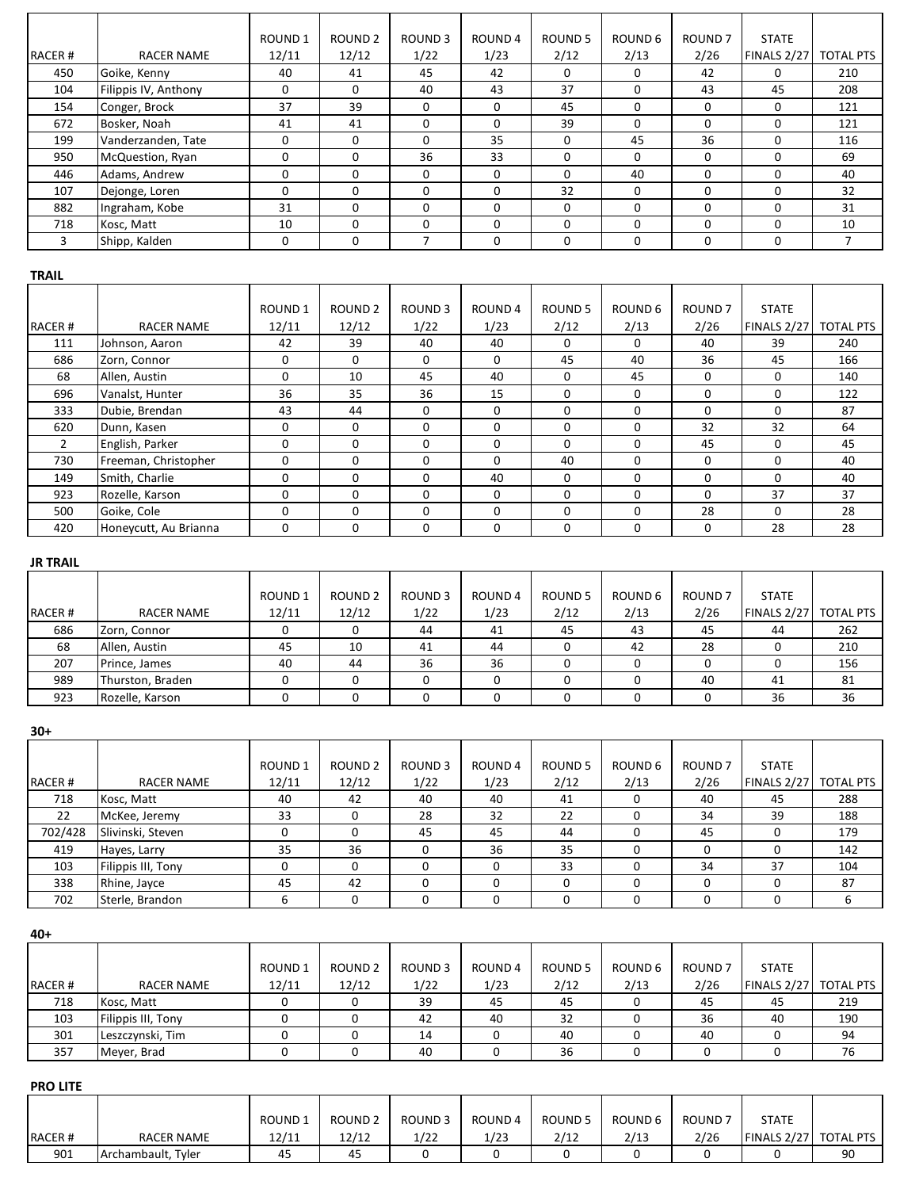|               |                      | ROUND <sub>1</sub> | ROUND <sub>2</sub> | ROUND <sub>3</sub> | ROUND 4      | ROUND <sub>5</sub> | ROUND 6      | ROUND <sub>7</sub> | <b>STATE</b> |                  |
|---------------|----------------------|--------------------|--------------------|--------------------|--------------|--------------------|--------------|--------------------|--------------|------------------|
| <b>RACER#</b> | <b>RACER NAME</b>    | 12/11              | 12/12              | 1/22               | 1/23         | 2/12               | 2/13         | 2/26               | FINALS 2/27  | <b>TOTAL PTS</b> |
| 450           | Goike, Kenny         | 40                 | 41                 | 45                 | 42           | $\Omega$           | 0            | 42                 | 0            | 210              |
| 104           | Filippis IV, Anthony | 0                  | $\Omega$           | 40                 | 43           | 37                 |              | 43                 | 45           | 208              |
| 154           | Conger, Brock        | 37                 | 39                 | $\Omega$           | 0            | 45                 | <sup>0</sup> | $\Omega$           | $\Omega$     | 121              |
| 672           | Bosker, Noah         | 41                 | 41                 |                    | 0            | 39                 | 0            | 0                  | $\Omega$     | 121              |
| 199           | Vanderzanden, Tate   | 0                  | $\Omega$           |                    | 35           | $\Omega$           | 45           | 36                 | 0            | 116              |
| 950           | McQuestion, Ryan     | $\Omega$           | $\Omega$           | 36                 | 33           | $\Omega$           | <sup>n</sup> | 0                  | $\Omega$     | 69               |
| 446           | Adams, Andrew        | $\Omega$           | 0                  | $\Omega$           | <sup>0</sup> | $\Omega$           | 40           | 0                  | $\Omega$     | 40               |
| 107           | Dejonge, Loren       | 0                  | $\Omega$           |                    | 0            | 32                 | 0            | 0                  | 0            | 32               |
| 882           | Ingraham, Kobe       | 31                 | $\Omega$           |                    | <sup>0</sup> | $\Omega$           | 0            | 0                  | $\Omega$     | 31               |
| 718           | Kosc, Matt           | 10                 | $\Omega$           |                    |              | $\Omega$           |              | 0                  | 0            | 10               |
| 3             | Shipp, Kalden        | 0                  | 0                  |                    | 0            | $\Omega$           | 0            | 0                  | 0            |                  |

# **TRAIL**

|        |                       | ROUND <sub>1</sub> | <b>ROUND 2</b> | <b>ROUND3</b> | ROUND <sub>4</sub> | ROUND 5  | ROUND 6  | ROUND <sub>7</sub> | <b>STATE</b> |                  |
|--------|-----------------------|--------------------|----------------|---------------|--------------------|----------|----------|--------------------|--------------|------------------|
| RACER# | <b>RACER NAME</b>     | 12/11              | 12/12          | 1/22          | 1/23               | 2/12     | 2/13     | 2/26               | FINALS 2/27  | <b>TOTAL PTS</b> |
| 111    | Johnson, Aaron        | 42                 | 39             | 40            | 40                 | O        | 0        | 40                 | 39           | 240              |
| 686    | Zorn, Connor          | 0                  | 0              | $\Omega$      |                    | 45       | 40       | 36                 | 45           | 166              |
| 68     | Allen, Austin         | 0                  | 10             | 45            | 40                 | O        | 45       | $\Omega$           | 0            | 140              |
| 696    | Vanalst, Hunter       | 36                 | 35             | 36            | 15                 |          | 0        | <sup>n</sup>       | $\Omega$     | 122              |
| 333    | Dubie, Brendan        | 43                 | 44             | $\Omega$      |                    |          | 0        | <sup>0</sup>       | $\Omega$     | 87               |
| 620    | Dunn, Kasen           | 0                  | 0              | $\Omega$      | O                  | O        | 0        | 32                 | 32           | 64               |
|        | English, Parker       | 0                  | 0              | $\Omega$      |                    | O        | 0        | 45                 | 0            | 45               |
| 730    | Freeman, Christopher  | 0                  | 0              | $\Omega$      |                    | 40       | $\Omega$ | $\Omega$           | $\Omega$     | 40               |
| 149    | Smith, Charlie        | 0                  | 0              | $\Omega$      | 40                 | $\Omega$ | 0        | $\Omega$           | 0            | 40               |
| 923    | Rozelle, Karson       | 0                  | $\Omega$       | $\Omega$      |                    |          | 0        | $\Omega$           | 37           | 37               |
| 500    | Goike, Cole           | 0                  | $\Omega$       | 0             |                    |          | 0        | 28                 | $\Omega$     | 28               |
| 420    | Honeycutt, Au Brianna | 0                  | 0              | $\Omega$      | 0                  | O        | 0        | $\Omega$           | 28           | 28               |

# **JR TRAIL**

|               |                   | ROUND 1 | ROUND <sub>2</sub> | ROUND <sub>3</sub> | ROUND 4 | ROUND 5 | ROUND 6 | <b>ROUND 7</b> | <b>STATE</b> |                  |
|---------------|-------------------|---------|--------------------|--------------------|---------|---------|---------|----------------|--------------|------------------|
| <b>RACER#</b> | <b>RACER NAME</b> | 12/11   | 12/12              | 1/22               | 1/23    | 2/12    | 2/13    | 2/26           | FINALS 2/27  | <b>TOTAL PTS</b> |
| 686           | Zorn, Connor      |         |                    | 44                 | 41      | 45      | 43      | 45             | 44           | 262              |
| 68            | Allen, Austin     | 45      | 10                 | 41                 | 44      |         | 42      | 28             |              | 210              |
| 207           | Prince, James     | 40      | 44                 | 36                 | 36      |         |         |                |              | 156              |
| 989           | Thurston, Braden  |         |                    |                    |         |         |         | 40             | 41           | 81               |
| 923           | Rozelle, Karson   |         |                    |                    |         |         |         |                | 36           | 36               |

**30+**

| דשכ     |                    |                        |                             |                       |                 |                 |                 |                            |                                       |     |
|---------|--------------------|------------------------|-----------------------------|-----------------------|-----------------|-----------------|-----------------|----------------------------|---------------------------------------|-----|
| RACER#  | RACER NAME         | <b>ROUND1</b><br>12/11 | ROUND <sub>2</sub><br>12/12 | <b>ROUND3</b><br>1/22 | ROUND 4<br>1/23 | ROUND 5<br>2/12 | ROUND 6<br>2/13 | ROUND <sub>7</sub><br>2/26 | <b>STATE</b><br>FINALS 2/27 TOTAL PTS |     |
| 718     | Kosc, Matt         | 40                     | 42                          | 40                    | 40              | 41              | 0               | 40                         | 45                                    | 288 |
| 22      | McKee, Jeremy      | 33                     | O                           | 28                    | 32              | 22              | 0               | 34                         | 39                                    | 188 |
| 702/428 | Slivinski, Steven  |                        |                             | 45                    | 45              | 44              |                 | 45                         | 0                                     | 179 |
| 419     | Hayes, Larry       | 35                     | 36                          |                       | 36              | 35              | 0               |                            | 0                                     | 142 |
| 103     | Filippis III, Tony |                        |                             |                       |                 | 33              |                 | 34                         | 37                                    | 104 |
| 338     | Rhine, Jayce       | 45                     | 42                          |                       |                 |                 |                 |                            | 0                                     | 87  |
| 702     | Sterle, Brandon    | 6                      | 0                           |                       |                 |                 | 0               |                            | 0                                     | 6   |

**40+**

|               |                    | <b>ROUND1</b> | ROUND <sub>2</sub> | <b>ROUND3</b> | ROUND 4 | ROUND 5 | ROUND 6 | <b>ROUND 7</b> | <b>STATE</b>       |                  |
|---------------|--------------------|---------------|--------------------|---------------|---------|---------|---------|----------------|--------------------|------------------|
| <b>RACER#</b> | RACER NAME         | 12/11         | 12/12              | 1/22          | 1/23    | 2/12    | 2/13    | 2/26           | <b>FINALS 2/27</b> | <b>TOTAL PTS</b> |
| 718           | Kosc, Matt         |               |                    | 39            | 45      | 45      |         | 45             | 45                 | 219              |
| 103           | Filippis III, Tony |               |                    | 42            | 40      | 32      |         | 36             | 40                 | 190              |
| 301           | Leszczynski, Tim   |               |                    | 14            |         | 40      |         | 40             |                    | 94               |
| 357           | Meyer, Brad        |               |                    | 40            |         | 36      |         |                |                    | 76               |

#### **PRO LITE**

|               |                    | ROUND 1 | ROUND <sub>2</sub> | <b>ROUND3</b> | ROUND 4 | ROUND <sub>5</sub> | ROUND 6 | ROUND <sub>7</sub> | <b>STATE</b>          |    |
|---------------|--------------------|---------|--------------------|---------------|---------|--------------------|---------|--------------------|-----------------------|----|
| <b>RACER#</b> | <b>RACER NAME</b>  | 12/11   | 12/12              | 1/22          | 1/23    | 2/12               | 2/13    | 2/26               | FINALS 2/27 TOTAL PTS |    |
| 901           | Archambault, Tyler | 45      | 45                 |               |         |                    |         |                    |                       | 90 |